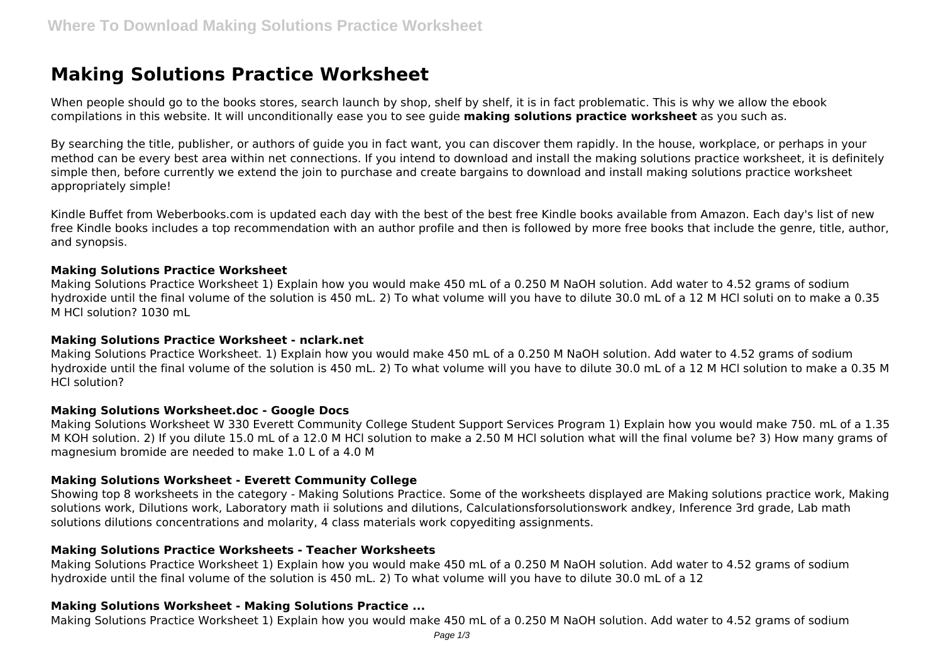# **Making Solutions Practice Worksheet**

When people should go to the books stores, search launch by shop, shelf by shelf, it is in fact problematic. This is why we allow the ebook compilations in this website. It will unconditionally ease you to see guide **making solutions practice worksheet** as you such as.

By searching the title, publisher, or authors of guide you in fact want, you can discover them rapidly. In the house, workplace, or perhaps in your method can be every best area within net connections. If you intend to download and install the making solutions practice worksheet, it is definitely simple then, before currently we extend the join to purchase and create bargains to download and install making solutions practice worksheet appropriately simple!

Kindle Buffet from Weberbooks.com is updated each day with the best of the best free Kindle books available from Amazon. Each day's list of new free Kindle books includes a top recommendation with an author profile and then is followed by more free books that include the genre, title, author, and synopsis.

### **Making Solutions Practice Worksheet**

Making Solutions Practice Worksheet 1) Explain how you would make 450 mL of a 0.250 M NaOH solution. Add water to 4.52 grams of sodium hydroxide until the final volume of the solution is 450 mL. 2) To what volume will you have to dilute 30.0 mL of a 12 M HCl soluti on to make a 0.35 M HCl solution? 1030 mL

#### **Making Solutions Practice Worksheet - nclark.net**

Making Solutions Practice Worksheet. 1) Explain how you would make 450 mL of a 0.250 M NaOH solution. Add water to 4.52 grams of sodium hydroxide until the final volume of the solution is 450 mL. 2) To what volume will you have to dilute 30.0 mL of a 12 M HCl solution to make a 0.35 M HCl solution?

### **Making Solutions Worksheet.doc - Google Docs**

Making Solutions Worksheet W 330 Everett Community College Student Support Services Program 1) Explain how you would make 750. mL of a 1.35 M KOH solution. 2) If you dilute 15.0 mL of a 12.0 M HCl solution to make a 2.50 M HCl solution what will the final volume be? 3) How many grams of magnesium bromide are needed to make 1.0 L of a 4.0 M

### **Making Solutions Worksheet - Everett Community College**

Showing top 8 worksheets in the category - Making Solutions Practice. Some of the worksheets displayed are Making solutions practice work, Making solutions work, Dilutions work, Laboratory math ii solutions and dilutions, Calculationsforsolutionswork andkey, Inference 3rd grade, Lab math solutions dilutions concentrations and molarity, 4 class materials work copyediting assignments.

### **Making Solutions Practice Worksheets - Teacher Worksheets**

Making Solutions Practice Worksheet 1) Explain how you would make 450 mL of a 0.250 M NaOH solution. Add water to 4.52 grams of sodium hydroxide until the final volume of the solution is 450 mL. 2) To what volume will you have to dilute 30.0 mL of a 12

### **Making Solutions Worksheet - Making Solutions Practice ...**

Making Solutions Practice Worksheet 1) Explain how you would make 450 mL of a 0.250 M NaOH solution. Add water to 4.52 grams of sodium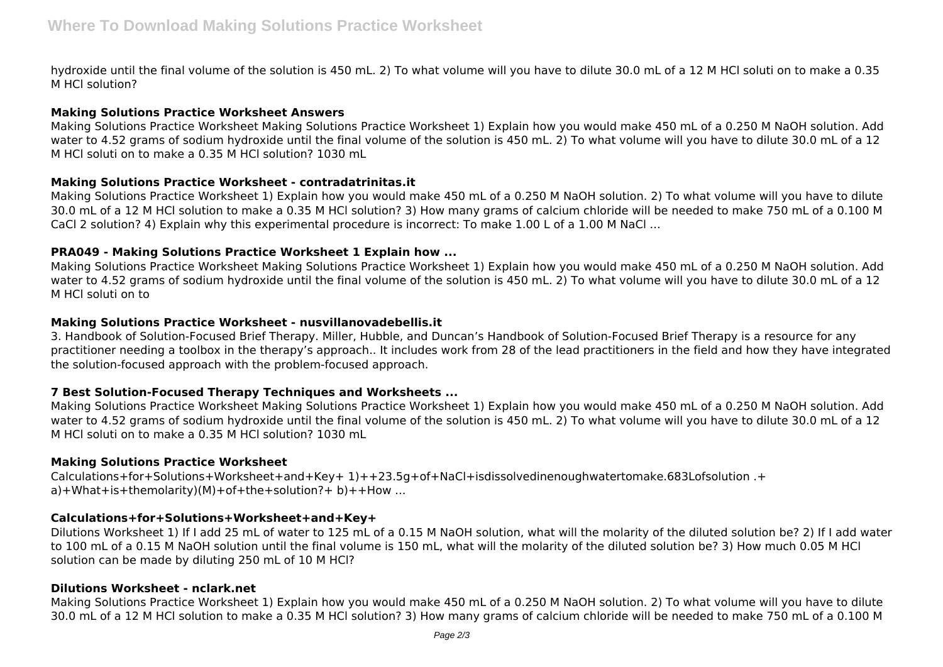hydroxide until the final volume of the solution is 450 mL. 2) To what volume will you have to dilute 30.0 mL of a 12 M HCl soluti on to make a 0.35 M HCl solution?

## **Making Solutions Practice Worksheet Answers**

Making Solutions Practice Worksheet Making Solutions Practice Worksheet 1) Explain how you would make 450 mL of a 0.250 M NaOH solution. Add water to 4.52 grams of sodium hydroxide until the final volume of the solution is 450 mL. 2) To what volume will you have to dilute 30.0 mL of a 12 M HCl soluti on to make a 0.35 M HCl solution? 1030 mL

# **Making Solutions Practice Worksheet - contradatrinitas.it**

Making Solutions Practice Worksheet 1) Explain how you would make 450 mL of a 0.250 M NaOH solution. 2) To what volume will you have to dilute 30.0 mL of a 12 M HCl solution to make a 0.35 M HCl solution? 3) How many grams of calcium chloride will be needed to make 750 mL of a 0.100 M CaCl 2 solution? 4) Explain why this experimental procedure is incorrect: To make 1.00 L of a 1.00 M NaCl ...

## **PRA049 - Making Solutions Practice Worksheet 1 Explain how ...**

Making Solutions Practice Worksheet Making Solutions Practice Worksheet 1) Explain how you would make 450 mL of a 0.250 M NaOH solution. Add water to 4.52 grams of sodium hydroxide until the final volume of the solution is 450 mL. 2) To what volume will you have to dilute 30.0 mL of a 12 M HCl soluti on to

## **Making Solutions Practice Worksheet - nusvillanovadebellis.it**

3. Handbook of Solution-Focused Brief Therapy. Miller, Hubble, and Duncan's Handbook of Solution-Focused Brief Therapy is a resource for any practitioner needing a toolbox in the therapy's approach.. It includes work from 28 of the lead practitioners in the field and how they have integrated the solution-focused approach with the problem-focused approach.

# **7 Best Solution-Focused Therapy Techniques and Worksheets ...**

Making Solutions Practice Worksheet Making Solutions Practice Worksheet 1) Explain how you would make 450 mL of a 0.250 M NaOH solution. Add water to 4.52 grams of sodium hydroxide until the final volume of the solution is 450 mL. 2) To what volume will you have to dilute 30.0 mL of a 12 M HCl soluti on to make a 0.35 M HCl solution? 1030 mL

### **Making Solutions Practice Worksheet**

Calculations+for+Solutions+Worksheet+and+Key+ 1)++23.5g+of+NaCl+isdissolvedinenoughwatertomake.683Lofsolution .+ a)+What+is+themolarity)(M)+of+the+solution?+ b)++How ...

# **Calculations+for+Solutions+Worksheet+and+Key+**

Dilutions Worksheet 1) If I add 25 mL of water to 125 mL of a 0.15 M NaOH solution, what will the molarity of the diluted solution be? 2) If I add water to 100 mL of a 0.15 M NaOH solution until the final volume is 150 mL, what will the molarity of the diluted solution be? 3) How much 0.05 M HCl solution can be made by diluting 250 mL of 10 M HCl?

### **Dilutions Worksheet - nclark.net**

Making Solutions Practice Worksheet 1) Explain how you would make 450 mL of a 0.250 M NaOH solution. 2) To what volume will you have to dilute 30.0 mL of a 12 M HCl solution to make a 0.35 M HCl solution? 3) How many grams of calcium chloride will be needed to make 750 mL of a 0.100 M